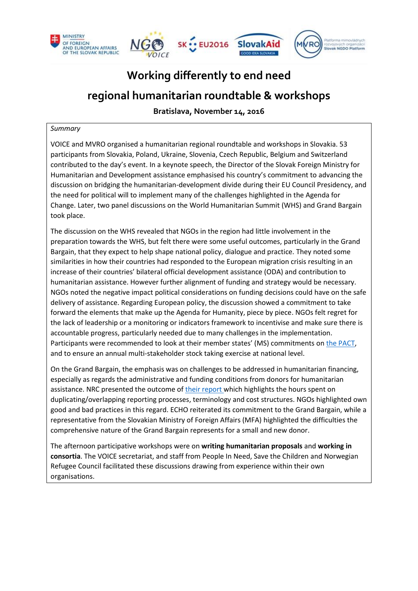

# **Working differently to end need**

# **regional humanitarian roundtable & workshops**

**Bratislava, November 14, 2016** 

#### *Summary*

VOICE and MVRO organised a humanitarian regional roundtable and workshops in Slovakia. 53 participants from Slovakia, Poland, Ukraine, Slovenia, Czech Republic, Belgium and Switzerland contributed to the day's event. In a keynote speech, the Director of the Slovak Foreign Ministry for Humanitarian and Development assistance emphasised his country's commitment to advancing the discussion on bridging the humanitarian-development divide during their EU Council Presidency, and the need for political will to implement many of the challenges highlighted in the Agenda for Change. Later, two panel discussions on the World Humanitarian Summit (WHS) and Grand Bargain took place.

The discussion on the WHS revealed that NGOs in the region had little involvement in the preparation towards the WHS, but felt there were some useful outcomes, particularly in the Grand Bargain, that they expect to help shape national policy, dialogue and practice. They noted some similarities in how their countries had responded to the European migration crisis resulting in an increase of their countries' bilateral official development assistance (ODA) and contribution to humanitarian assistance. However further alignment of funding and strategy would be necessary. NGOs noted the negative impact political considerations on funding decisions could have on the safe delivery of assistance. Regarding European policy, the discussion showed a commitment to take forward the elements that make up the Agenda for Humanity, piece by piece. NGOs felt regret for the lack of leadership or a monitoring or indicators framework to incentivise and make sure there is accountable progress, particularly needed due to many challenges in the implementation. Participants were recommended to look at their member states' (MS) commitments o[n the PACT,](http://www.agendaforhumanity.org/explore-commitments/indv-commitments) and to ensure an annual multi-stakeholder stock taking exercise at national level.

On the Grand Bargain, the emphasis was on challenges to be addressed in humanitarian financing, especially as regards the administrative and funding conditions from donors for humanitarian assistance. NRC presented the outcome of [their report w](https://www.nrc.no/globalassets/office/whs/institutional-donor-requirements-report-on-sectoral-challenges-21.05.pdf)hich highlights the hours spent on duplicating/overlapping reporting processes, terminology and cost structures. NGOs highlighted own good and bad practices in this regard. ECHO reiterated its commitment to the Grand Bargain, while a representative from the Slovakian Ministry of Foreign Affairs (MFA) highlighted the difficulties the comprehensive nature of the Grand Bargain represents for a small and new donor.

The afternoon participative workshops were on **writing humanitarian proposals** and **working in consortia**. The VOICE secretariat, and staff from People In Need, Save the Children and Norwegian Refugee Council facilitated these discussions drawing from experience within their own organisations.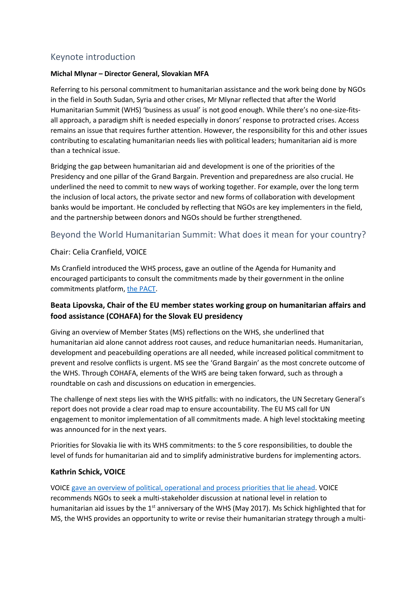# Keynote introduction

#### **Michal Mlynar – Director General, Slovakian MFA**

Referring to his personal commitment to humanitarian assistance and the work being done by NGOs in the field in South Sudan, Syria and other crises, Mr Mlynar reflected that after the World Humanitarian Summit (WHS) 'business as usual' is not good enough. While there's no one-size-fitsall approach, a paradigm shift is needed especially in donors' response to protracted crises. Access remains an issue that requires further attention. However, the responsibility for this and other issues contributing to escalating humanitarian needs lies with political leaders; humanitarian aid is more than a technical issue.

Bridging the gap between humanitarian aid and development is one of the priorities of the Presidency and one pillar of the Grand Bargain. Prevention and preparedness are also crucial. He underlined the need to commit to new ways of working together. For example, over the long term the inclusion of local actors, the private sector and new forms of collaboration with development banks would be important. He concluded by reflecting that NGOs are key implementers in the field, and the partnership between donors and NGOs should be further strengthened.

## Beyond the World Humanitarian Summit: What does it mean for your country?

#### Chair: Celia Cranfield, VOICE

Ms Cranfield introduced the WHS process, gave an outline of the Agenda for Humanity and encouraged participants to consult the commitments made by their government in the online commitments platform, [the PACT.](http://www.agendaforhumanity.org/explore-commitments/indv-commitments)

## **Beata Lipovska, Chair of the EU member states working group on humanitarian affairs and food assistance (COHAFA) for the Slovak EU presidency**

Giving an overview of Member States (MS) reflections on the WHS, she underlined that humanitarian aid alone cannot address root causes, and reduce humanitarian needs. Humanitarian, development and peacebuilding operations are all needed, while increased political commitment to prevent and resolve conflicts is urgent. MS see the 'Grand Bargain' as the most concrete outcome of the WHS. Through COHAFA, elements of the WHS are being taken forward, such as through a roundtable on cash and discussions on education in emergencies.

The challenge of next steps lies with the WHS pitfalls: with no indicators, the UN Secretary General's report does not provide a clear road map to ensure accountability. The EU MS call for UN engagement to monitor implementation of all commitments made. A high level stocktaking meeting was announced for in the next years.

Priorities for Slovakia lie with its WHS commitments: to the 5 core responsibilities, to double the level of funds for humanitarian aid and to simplify administrative burdens for implementing actors.

#### **Kathrin Schick, VOICE**

VOICE [gave an overview of political, operational and process priorities that lie ahead.](http://www.ngovoice.org/documents/view.php?title=20161110%20KS%20on%20WHS%20SK.pdf) VOICE recommends NGOs to seek a multi-stakeholder discussion at national level in relation to humanitarian aid issues by the 1<sup>st</sup> anniversary of the WHS (May 2017). Ms Schick highlighted that for MS, the WHS provides an opportunity to write or revise their humanitarian strategy through a multi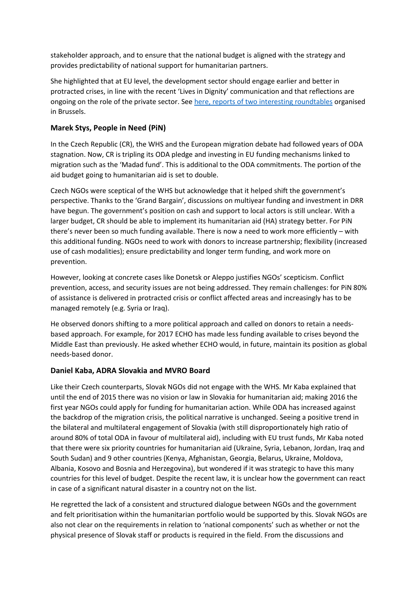stakeholder approach, and to ensure that the national budget is aligned with the strategy and provides predictability of national support for humanitarian partners.

She highlighted that at EU level, the development sector should engage earlier and better in protracted crises, in line with the recent 'Lives in Dignity' communication and that reflections are ongoing on the role of the private sector. Se[e here, reports of two interesting roundtables](http://www.ngovoice.org/documents/ECHO%20private%20sector%20roundtable%20-%20summary%20report%20and%20annexes%201-2.pdf) organised in Brussels.

#### **Marek Stys, People in Need (PiN)**

In the Czech Republic (CR), the WHS and the European migration debate had followed years of ODA stagnation. Now, CR is tripling its ODA pledge and investing in EU funding mechanisms linked to migration such as the 'Madad fund'. This is additional to the ODA commitments. The portion of the aid budget going to humanitarian aid is set to double.

Czech NGOs were sceptical of the WHS but acknowledge that it helped shift the government's perspective. Thanks to the 'Grand Bargain', discussions on multiyear funding and investment in DRR have begun. The government's position on cash and support to local actors is still unclear. With a larger budget, CR should be able to implement its humanitarian aid (HA) strategy better. For PiN there's never been so much funding available. There is now a need to work more efficiently – with this additional funding. NGOs need to work with donors to increase partnership; flexibility (increased use of cash modalities); ensure predictability and longer term funding, and work more on prevention.

However, looking at concrete cases like Donetsk or Aleppo justifies NGOs' scepticism. Conflict prevention, access, and security issues are not being addressed. They remain challenges: for PiN 80% of assistance is delivered in protracted crisis or conflict affected areas and increasingly has to be managed remotely (e.g. Syria or Iraq).

He observed donors shifting to a more political approach and called on donors to retain a needsbased approach. For example, for 2017 ECHO has made less funding available to crises beyond the Middle East than previously. He asked whether ECHO would, in future, maintain its position as global needs-based donor.

#### **Daniel Kaba, ADRA Slovakia and MVRO Board**

Like their Czech counterparts, Slovak NGOs did not engage with the WHS. Mr Kaba explained that until the end of 2015 there was no vision or law in Slovakia for humanitarian aid; making 2016 the first year NGOs could apply for funding for humanitarian action. While ODA has increased against the backdrop of the migration crisis, the political narrative is unchanged. Seeing a positive trend in the bilateral and multilateral engagement of Slovakia (with still disproportionately high ratio of around 80% of total ODA in favour of multilateral aid), including with EU trust funds, Mr Kaba noted that there were six priority countries for humanitarian aid (Ukraine, Syria, Lebanon, Jordan, Iraq and South Sudan) and 9 other countries (Kenya, Afghanistan, Georgia, Belarus, Ukraine, Moldova, Albania, Kosovo and Bosnia and Herzegovina), but wondered if it was strategic to have this many countries for this level of budget. Despite the recent law, it is unclear how the government can react in case of a significant natural disaster in a country not on the list.

He regretted the lack of a consistent and structured dialogue between NGOs and the government and felt prioritisation within the humanitarian portfolio would be supported by this. Slovak NGOs are also not clear on the requirements in relation to 'national components' such as whether or not the physical presence of Slovak staff or products is required in the field. From the discussions and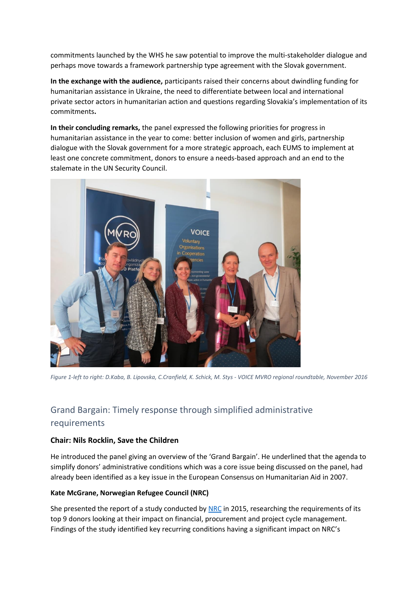commitments launched by the WHS he saw potential to improve the multi-stakeholder dialogue and perhaps move towards a framework partnership type agreement with the Slovak government.

**In the exchange with the audience,** participants raised their concerns about dwindling funding for humanitarian assistance in Ukraine, the need to differentiate between local and international private sector actors in humanitarian action and questions regarding Slovakia's implementation of its commitments**.** 

**In their concluding remarks,** the panel expressed the following priorities for progress in humanitarian assistance in the year to come: better inclusion of women and girls, partnership dialogue with the Slovak government for a more strategic approach, each EUMS to implement at least one concrete commitment, donors to ensure a needs-based approach and an end to the stalemate in the UN Security Council.



*Figure 1-left to right: D.Kaba, B. Lipovska, C.Cranfield, K. Schick, M. Stys - VOICE MVRO regional roundtable, November 2016*

# Grand Bargain: Timely response through simplified administrative requirements

#### **Chair: Nils Rocklin, Save the Children**

He introduced the panel giving an overview of the 'Grand Bargain'. He underlined that the agenda to simplify donors' administrative conditions which was a core issue being discussed on the panel, had already been identified as a key issue in the European Consensus on Humanitarian Aid in 2007.

#### **Kate McGrane, Norwegian Refugee Council (NRC)**

She presented the report of a study conducted b[y NRC](https://www.nrc.no/globalassets/office/whs/institutional-donor-requirements-report-on-sectoral-challenges-21.05.pdf) in 2015, researching the requirements of its top 9 donors looking at their impact on financial, procurement and project cycle management. Findings of the study identified key recurring conditions having a significant impact on NRC's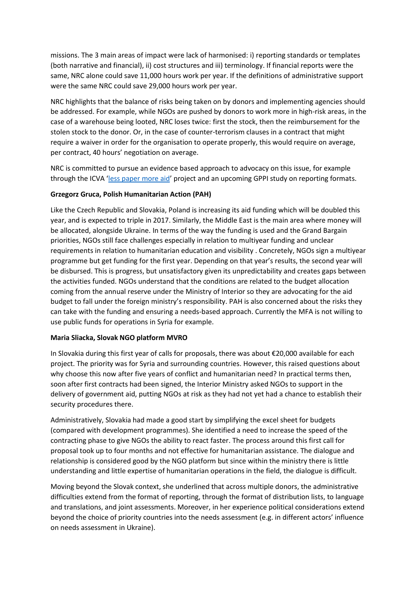missions. The 3 main areas of impact were lack of harmonised: i) reporting standards or templates (both narrative and financial), ii) cost structures and iii) terminology. If financial reports were the same, NRC alone could save 11,000 hours work per year. If the definitions of administrative support were the same NRC could save 29,000 hours work per year.

NRC highlights that the balance of risks being taken on by donors and implementing agencies should be addressed. For example, while NGOs are pushed by donors to work more in high-risk areas, in the case of a warehouse being looted, NRC loses twice: first the stock, then the reimbursement for the stolen stock to the donor. Or, in the case of counter-terrorism clauses in a contract that might require a waiver in order for the organisation to operate properly, this would require on average, per contract, 40 hours' negotiation on average.

NRC is committed to pursue an evidence based approach to advocacy on this issue, for example through the ICVA '[less paper more aid](http://lesspapermoreaid.org/)' project and an upcoming GPPI study on reporting formats.

#### **Grzegorz Gruca, Polish Humanitarian Action (PAH)**

Like the Czech Republic and Slovakia, Poland is increasing its aid funding which will be doubled this year, and is expected to triple in 2017. Similarly, the Middle East is the main area where money will be allocated, alongside Ukraine. In terms of the way the funding is used and the Grand Bargain priorities, NGOs still face challenges especially in relation to multiyear funding and unclear requirements in relation to humanitarian education and visibility . Concretely, NGOs sign a multiyear programme but get funding for the first year. Depending on that year's results, the second year will be disbursed. This is progress, but unsatisfactory given its unpredictability and creates gaps between the activities funded. NGOs understand that the conditions are related to the budget allocation coming from the annual reserve under the Ministry of Interior so they are advocating for the aid budget to fall under the foreign ministry's responsibility. PAH is also concerned about the risks they can take with the funding and ensuring a needs-based approach. Currently the MFA is not willing to use public funds for operations in Syria for example.

#### **Maria Sliacka, Slovak NGO platform MVRO**

In Slovakia during this first year of calls for proposals, there was about €20,000 available for each project. The priority was for Syria and surrounding countries. However, this raised questions about why choose this now after five years of conflict and humanitarian need? In practical terms then, soon after first contracts had been signed, the Interior Ministry asked NGOs to support in the delivery of government aid, putting NGOs at risk as they had not yet had a chance to establish their security procedures there.

Administratively, Slovakia had made a good start by simplifying the excel sheet for budgets (compared with development programmes). She identified a need to increase the speed of the contracting phase to give NGOs the ability to react faster. The process around this first call for proposal took up to four months and not effective for humanitarian assistance. The dialogue and relationship is considered good by the NGO platform but since within the ministry there is little understanding and little expertise of humanitarian operations in the field, the dialogue is difficult.

Moving beyond the Slovak context, she underlined that across multiple donors, the administrative difficulties extend from the format of reporting, through the format of distribution lists, to language and translations, and joint assessments. Moreover, in her experience political considerations extend beyond the choice of priority countries into the needs assessment (e.g. in different actors' influence on needs assessment in Ukraine).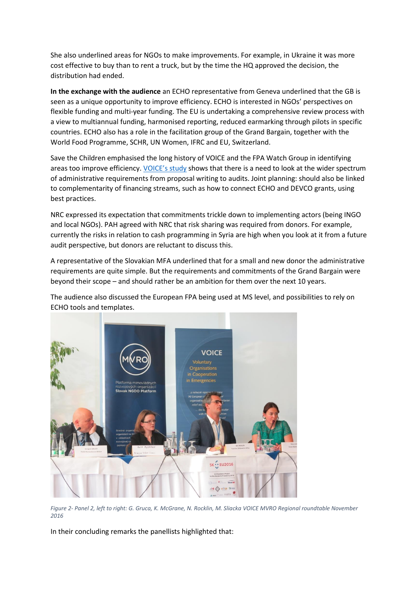She also underlined areas for NGOs to make improvements. For example, in Ukraine it was more cost effective to buy than to rent a truck, but by the time the HQ approved the decision, the distribution had ended.

**In the exchange with the audience** an ECHO representative from Geneva underlined that the GB is seen as a unique opportunity to improve efficiency. ECHO is interested in NGOs' perspectives on flexible funding and multi-year funding. The EU is undertaking a comprehensive review process with a view to multiannual funding, harmonised reporting, reduced earmarking through pilots in specific countries. ECHO also has a role in the facilitation group of the Grand Bargain, together with the World Food Programme, SCHR, UN Women, IFRC and EU, Switzerland.

Save the Children emphasised the long history of VOICE and the FPA Watch Group in identifying areas too improve efficiency. [VOICE's study](http://www.ngovoice.org/documents/VOICE%20Study%20EU%20Donors%20funding%20and%20conditions%20for%20working%20with%20NGOs.pdf) shows that there is a need to look at the wider spectrum of administrative requirements from proposal writing to audits. Joint planning: should also be linked to complementarity of financing streams, such as how to connect ECHO and DEVCO grants, using best practices.

NRC expressed its expectation that commitments trickle down to implementing actors (being INGO and local NGOs). PAH agreed with NRC that risk sharing was required from donors. For example, currently the risks in relation to cash programming in Syria are high when you look at it from a future audit perspective, but donors are reluctant to discuss this.

A representative of the Slovakian MFA underlined that for a small and new donor the administrative requirements are quite simple. But the requirements and commitments of the Grand Bargain were beyond their scope – and should rather be an ambition for them over the next 10 years.

The audience also discussed the European FPA being used at MS level, and possibilities to rely on ECHO tools and templates.



*Figure 2- Panel 2, left to right: G. Gruca, K. McGrane, N. Rocklin, M. Sliacka VOICE MVRO Regional roundtable November 2016*

In their concluding remarks the panellists highlighted that: